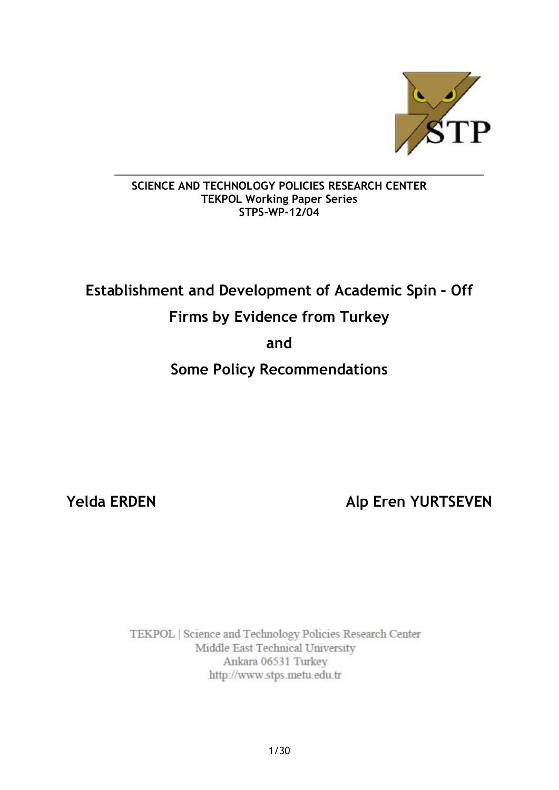

## **SCIENCE AND TECHNOLOGY POLICIES RESEARCH CENTER TEKPOL Working Paper Series STPS-WP-12/04**

# **Establishment and Development of Academic Spin – Off**

# **Firms by Evidence from Turkey**

# **and**

# **Some Policy Recommendations**

**Yelda ERDEN Alp Eren YURTSEVEN**

TEKPOL | Science and Technology Policies Research Center Middle East Technical University Ankara 06531 Turkey http://www.stps.metu.edu.tr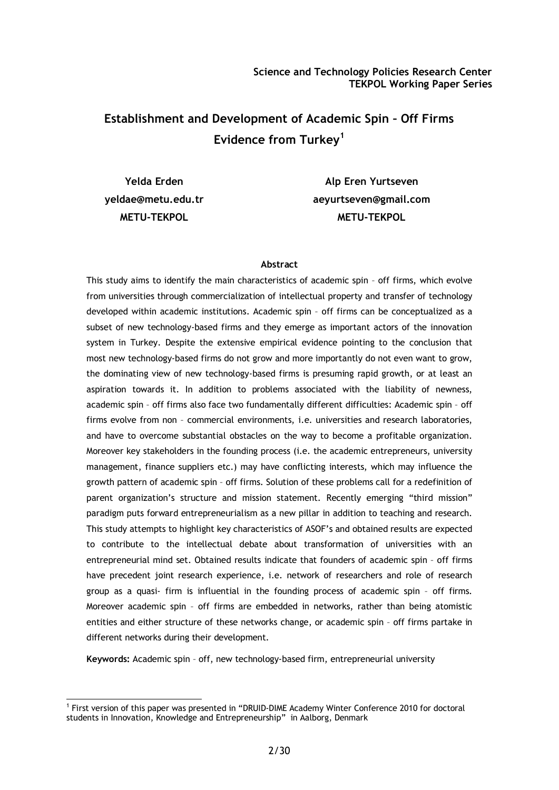# **Establishment and Development of Academic Spin – Off Firms Evidence from Turkey<sup>1</sup>**

**Yelda Erden [yeldae@metu.edu.tr](mailto:yeldae@metu.edu.tr) METU-TEKPOL**

**Alp Eren Yurtseven [aeyurtseven@gmail.com](mailto:aeyurtseven@gmail.com) METU-TEKPOL**

#### **Abstract**

This study aims to identify the main characteristics of academic spin – off firms, which evolve from universities through commercialization of intellectual property and transfer of technology developed within academic institutions. Academic spin – off firms can be conceptualized as a subset of new technology-based firms and they emerge as important actors of the innovation system in Turkey. Despite the extensive empirical evidence pointing to the conclusion that most new technology-based firms do not grow and more importantly do not even want to grow, the dominating view of new technology-based firms is presuming rapid growth, or at least an aspiration towards it. In addition to problems associated with the liability of newness, academic spin – off firms also face two fundamentally different difficulties: Academic spin – off firms evolve from non – commercial environments, i.e. universities and research laboratories, and have to overcome substantial obstacles on the way to become a profitable organization. Moreover key stakeholders in the founding process (i.e. the academic entrepreneurs, university management, finance suppliers etc.) may have conflicting interests, which may influence the growth pattern of academic spin – off firms. Solution of these problems call for a redefinition of parent organization's structure and mission statement. Recently emerging "third mission" paradigm puts forward entrepreneurialism as a new pillar in addition to teaching and research. This study attempts to highlight key characteristics of ASOF's and obtained results are expected to contribute to the intellectual debate about transformation of universities with an entrepreneurial mind set. Obtained results indicate that founders of academic spin – off firms have precedent joint research experience, i.e. network of researchers and role of research group as a quasi- firm is influential in the founding process of academic spin – off firms. Moreover academic spin – off firms are embedded in networks, rather than being atomistic entities and either structure of these networks change, or academic spin – off firms partake in different networks during their development.

**Keywords:** Academic spin – off, new technology-based firm, entrepreneurial university

<sup>1</sup> First version of this paper was presented in "DRUID-DIME Academy Winter Conference 2010 for doctoral students in Innovation, Knowledge and Entrepreneurship" in Aalborg, Denmark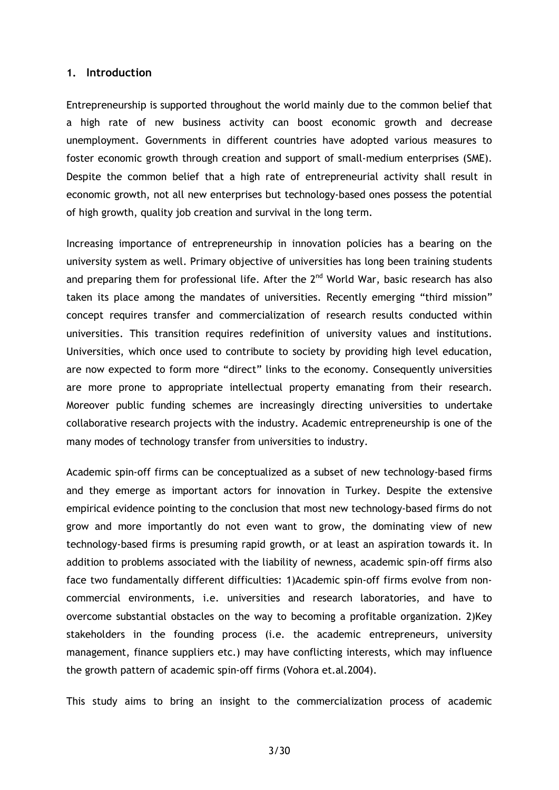#### **1. Introduction**

Entrepreneurship is supported throughout the world mainly due to the common belief that a high rate of new business activity can boost economic growth and decrease unemployment. Governments in different countries have adopted various measures to foster economic growth through creation and support of small-medium enterprises (SME). Despite the common belief that a high rate of entrepreneurial activity shall result in economic growth, not all new enterprises but technology-based ones possess the potential of high growth, quality job creation and survival in the long term.

Increasing importance of entrepreneurship in innovation policies has a bearing on the university system as well. Primary objective of universities has long been training students and preparing them for professional life. After the  $2<sup>nd</sup>$  World War, basic research has also taken its place among the mandates of universities. Recently emerging "third mission" concept requires transfer and commercialization of research results conducted within universities. This transition requires redefinition of university values and institutions. Universities, which once used to contribute to society by providing high level education, are now expected to form more "direct" links to the economy. Consequently universities are more prone to appropriate intellectual property emanating from their research. Moreover public funding schemes are increasingly directing universities to undertake collaborative research projects with the industry. Academic entrepreneurship is one of the many modes of technology transfer from universities to industry.

Academic spin-off firms can be conceptualized as a subset of new technology-based firms and they emerge as important actors for innovation in Turkey. Despite the extensive empirical evidence pointing to the conclusion that most new technology-based firms do not grow and more importantly do not even want to grow, the dominating view of new technology-based firms is presuming rapid growth, or at least an aspiration towards it. In addition to problems associated with the liability of newness, academic spin-off firms also face two fundamentally different difficulties: 1)Academic spin-off firms evolve from noncommercial environments, i.e. universities and research laboratories, and have to overcome substantial obstacles on the way to becoming a profitable organization. 2)Key stakeholders in the founding process (i.e. the academic entrepreneurs, university management, finance suppliers etc.) may have conflicting interests, which may influence the growth pattern of academic spin-off firms (Vohora et.al.2004).

This study aims to bring an insight to the commercialization process of academic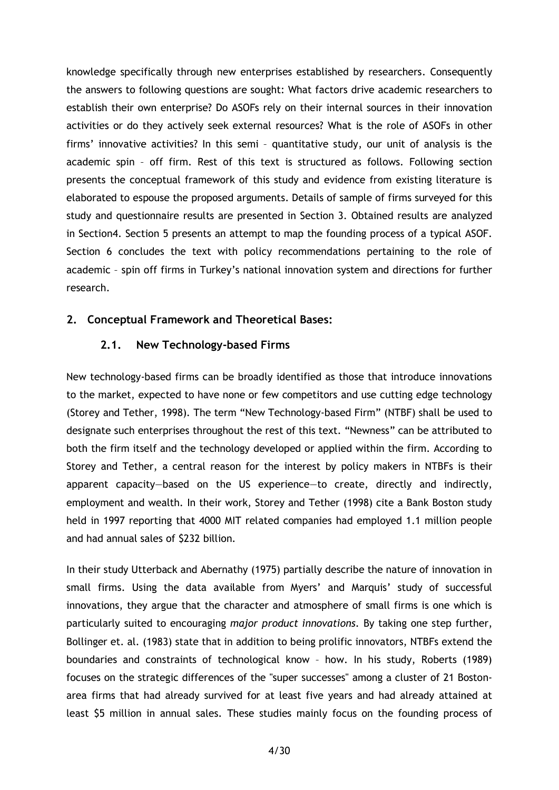knowledge specifically through new enterprises established by researchers. Consequently the answers to following questions are sought: What factors drive academic researchers to establish their own enterprise? Do ASOFs rely on their internal sources in their innovation activities or do they actively seek external resources? What is the role of ASOFs in other firms' innovative activities? In this semi – quantitative study, our unit of analysis is the academic spin – off firm. Rest of this text is structured as follows. Following section presents the conceptual framework of this study and evidence from existing literature is elaborated to espouse the proposed arguments. Details of sample of firms surveyed for this study and questionnaire results are presented in Section 3. Obtained results are analyzed in Section4. Section 5 presents an attempt to map the founding process of a typical ASOF. Section 6 concludes the text with policy recommendations pertaining to the role of academic – spin off firms in Turkey's national innovation system and directions for further research.

#### **2. Conceptual Framework and Theoretical Bases:**

#### **2.1. New Technology-based Firms**

New technology-based firms can be broadly identified as those that introduce innovations to the market, expected to have none or few competitors and use cutting edge technology (Storey and Tether, 1998). The term "New Technology-based Firm" (NTBF) shall be used to designate such enterprises throughout the rest of this text. "Newness" can be attributed to both the firm itself and the technology developed or applied within the firm. According to Storey and Tether, a central reason for the interest by policy makers in NTBFs is their apparent capacity—based on the US experience—to create, directly and indirectly, employment and wealth. In their work, Storey and Tether (1998) cite a Bank Boston study held in 1997 reporting that 4000 MIT related companies had employed 1.1 million people and had annual sales of \$232 billion.

In their study Utterback and Abernathy (1975) partially describe the nature of innovation in small firms. Using the data available from Myers' and Marquis' study of successful innovations, they argue that the character and atmosphere of small firms is one which is particularly suited to encouraging *major product innovations.* By taking one step further, Bollinger et. al. (1983) state that in addition to being prolific innovators, NTBFs extend the boundaries and constraints of technological know – how. In his study, Roberts (1989) focuses on the strategic differences of the "super successes" among a cluster of 21 Bostonarea firms that had already survived for at least five years and had already attained at least \$5 million in annual sales. These studies mainly focus on the founding process of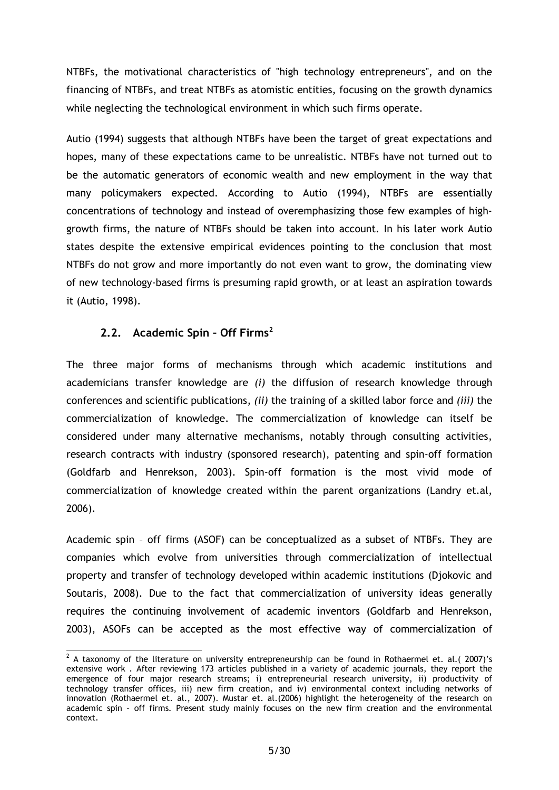NTBFs, the motivational characteristics of "high technology entrepreneurs", and on the financing of NTBFs, and treat NTBFs as atomistic entities, focusing on the growth dynamics while neglecting the technological environment in which such firms operate.

Autio (1994) suggests that although NTBFs have been the target of great expectations and hopes, many of these expectations came to be unrealistic. NTBFs have not turned out to be the automatic generators of economic wealth and new employment in the way that many policymakers expected. According to Autio (1994), NTBFs are essentially concentrations of technology and instead of overemphasizing those few examples of highgrowth firms, the nature of NTBFs should be taken into account. In his later work Autio states despite the extensive empirical evidences pointing to the conclusion that most NTBFs do not grow and more importantly do not even want to grow, the dominating view of new technology-based firms is presuming rapid growth, or at least an aspiration towards it (Autio, 1998).

## **2.2. Academic Spin – Off Firms<sup>2</sup>**

The three major forms of mechanisms through which academic institutions and academicians transfer knowledge are *(i)* the diffusion of research knowledge through conferences and scientific publications, *(ii)* the training of a skilled labor force and *(iii)* the commercialization of knowledge. The commercialization of knowledge can itself be considered under many alternative mechanisms, notably through consulting activities, research contracts with industry (sponsored research), patenting and spin-off formation (Goldfarb and Henrekson, 2003). Spin-off formation is the most vivid mode of commercialization of knowledge created within the parent organizations (Landry et.al, 2006).

Academic spin – off firms (ASOF) can be conceptualized as a subset of NTBFs. They are companies which evolve from universities through commercialization of intellectual property and transfer of technology developed within academic institutions (Djokovic and Soutaris, 2008). Due to the fact that commercialization of university ideas generally requires the continuing involvement of academic inventors (Goldfarb and Henrekson, 2003), ASOFs can be accepted as the most effective way of commercialization of

 $^2$  A taxonomy of the literature on university entrepreneurship can be found in Rothaermel et. al.( 2007)'s extensive work . After reviewing 173 articles published in a variety of academic journals, they report the emergence of four major research streams; i) entrepreneurial research university, ii) productivity of technology transfer offices, iii) new firm creation, and iv) environmental context including networks of innovation (Rothaermel et. al., 2007). Mustar et. al.(2006) highlight the heterogeneity of the research on academic spin – off firms. Present study mainly focuses on the new firm creation and the environmental context.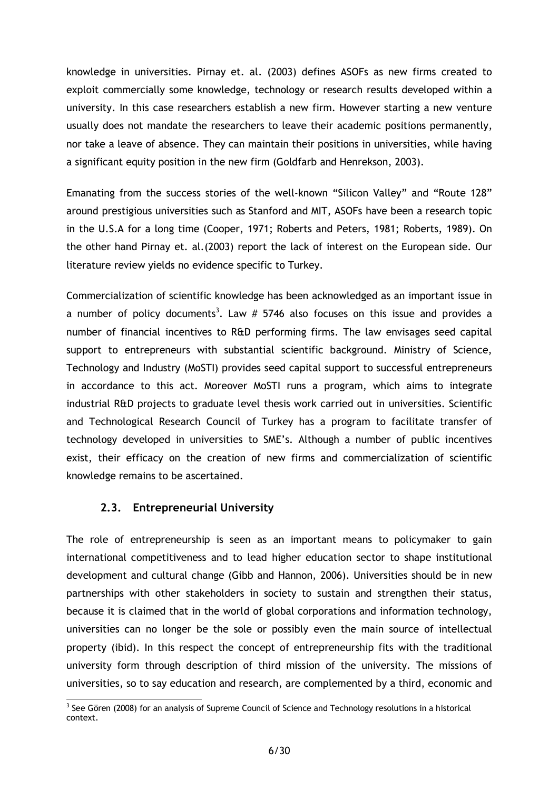knowledge in universities. Pirnay et. al. (2003) defines ASOFs as new firms created to exploit commercially some knowledge, technology or research results developed within a university. In this case researchers establish a new firm. However starting a new venture usually does not mandate the researchers to leave their academic positions permanently, nor take a leave of absence. They can maintain their positions in universities, while having a significant equity position in the new firm (Goldfarb and Henrekson, 2003).

Emanating from the success stories of the well-known "Silicon Valley" and "Route 128" around prestigious universities such as Stanford and MIT, ASOFs have been a research topic in the U.S.A for a long time (Cooper, 1971; Roberts and Peters, 1981; Roberts, 1989). On the other hand Pirnay et. al.(2003) report the lack of interest on the European side. Our literature review yields no evidence specific to Turkey.

Commercialization of scientific knowledge has been acknowledged as an important issue in a number of policy documents<sup>3</sup>. Law  $#$  5746 also focuses on this issue and provides a number of financial incentives to R&D performing firms. The law envisages seed capital support to entrepreneurs with substantial scientific background. Ministry of Science, Technology and Industry (MoSTI) provides seed capital support to successful entrepreneurs in accordance to this act. Moreover MoSTI runs a program, which aims to integrate industrial R&D projects to graduate level thesis work carried out in universities. Scientific and Technological Research Council of Turkey has a program to facilitate transfer of technology developed in universities to SME's. Although a number of public incentives exist, their efficacy on the creation of new firms and commercialization of scientific knowledge remains to be ascertained.

### **2.3. Entrepreneurial University**

The role of entrepreneurship is seen as an important means to policymaker to gain international competitiveness and to lead higher education sector to shape institutional development and cultural change (Gibb and Hannon, 2006). Universities should be in new partnerships with other stakeholders in society to sustain and strengthen their status, because it is claimed that in the world of global corporations and information technology, universities can no longer be the sole or possibly even the main source of intellectual property (ibid). In this respect the concept of entrepreneurship fits with the traditional university form through description of third mission of the university. The missions of universities, so to say education and research, are complemented by a third, economic and

 $3$  See Gören (2008) for an analysis of Supreme Council of Science and Technology resolutions in a historical context.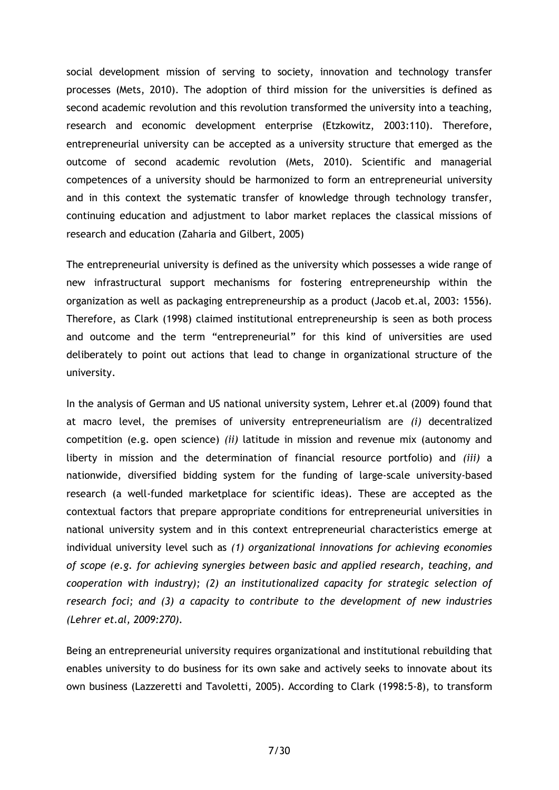social development mission of serving to society, innovation and technology transfer processes (Mets, 2010). The adoption of third mission for the universities is defined as second academic revolution and this revolution transformed the university into a teaching, research and economic development enterprise (Etzkowitz, 2003:110). Therefore, entrepreneurial university can be accepted as a university structure that emerged as the outcome of second academic revolution (Mets, 2010). Scientific and managerial competences of a university should be harmonized to form an entrepreneurial university and in this context the systematic transfer of knowledge through technology transfer, continuing education and adjustment to labor market replaces the classical missions of research and education (Zaharia and Gilbert, 2005)

The entrepreneurial university is defined as the university which possesses a wide range of new infrastructural support mechanisms for fostering entrepreneurship within the organization as well as packaging entrepreneurship as a product (Jacob et.al, 2003: 1556). Therefore, as Clark (1998) claimed institutional entrepreneurship is seen as both process and outcome and the term "entrepreneurial" for this kind of universities are used deliberately to point out actions that lead to change in organizational structure of the university.

In the analysis of German and US national university system, Lehrer et.al (2009) found that at macro level, the premises of university entrepreneurialism are *(i)* decentralized competition (e.g. open science) *(ii)* latitude in mission and revenue mix (autonomy and liberty in mission and the determination of financial resource portfolio) and *(iii)* a nationwide, diversified bidding system for the funding of large-scale university-based research (a well-funded marketplace for scientific ideas). These are accepted as the contextual factors that prepare appropriate conditions for entrepreneurial universities in national university system and in this context entrepreneurial characteristics emerge at individual university level such as *(1) organizational innovations for achieving economies of scope (e.g. for achieving synergies between basic and applied research, teaching, and cooperation with industry); (2) an institutionalized capacity for strategic selection of research foci; and (3) a capacity to contribute to the development of new industries (Lehrer et.al, 2009:270).*

Being an entrepreneurial university requires organizational and institutional rebuilding that enables university to do business for its own sake and actively seeks to innovate about its own business (Lazzeretti and Tavoletti, 2005). According to Clark (1998:5-8), to transform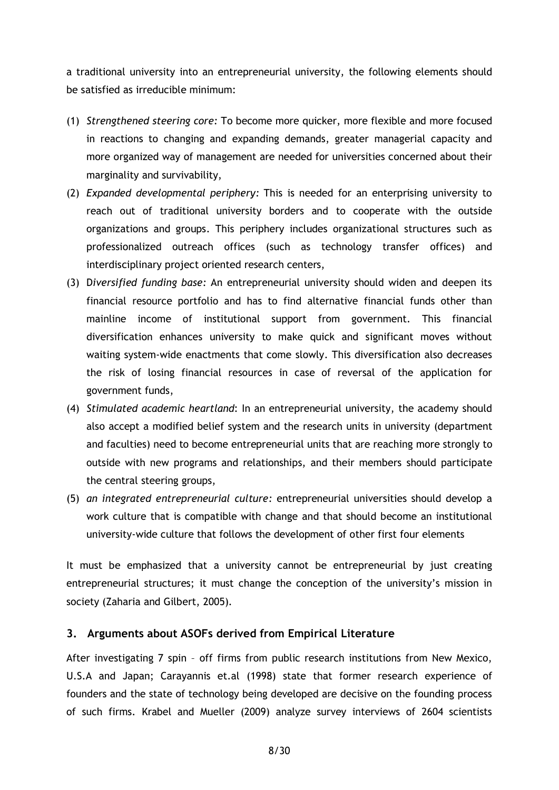a traditional university into an entrepreneurial university, the following elements should be satisfied as irreducible minimum:

- (1) *Strengthened steering core:* To become more quicker, more flexible and more focused in reactions to changing and expanding demands, greater managerial capacity and more organized way of management are needed for universities concerned about their marginality and survivability,
- (2) *Expanded developmental periphery:* This is needed for an enterprising university to reach out of traditional university borders and to cooperate with the outside organizations and groups. This periphery includes organizational structures such as professionalized outreach offices (such as technology transfer offices) and interdisciplinary project oriented research centers,
- (3) D*iversified funding base:* An entrepreneurial university should widen and deepen its financial resource portfolio and has to find alternative financial funds other than mainline income of institutional support from government. This financial diversification enhances university to make quick and significant moves without waiting system-wide enactments that come slowly. This diversification also decreases the risk of losing financial resources in case of reversal of the application for government funds,
- (4) *Stimulated academic heartland*: In an entrepreneurial university, the academy should also accept a modified belief system and the research units in university (department and faculties) need to become entrepreneurial units that are reaching more strongly to outside with new programs and relationships, and their members should participate the central steering groups,
- (5) *an integrated entrepreneurial culture:* entrepreneurial universities should develop a work culture that is compatible with change and that should become an institutional university-wide culture that follows the development of other first four elements

It must be emphasized that a university cannot be entrepreneurial by just creating entrepreneurial structures; it must change the conception of the university's mission in society (Zaharia and Gilbert, 2005).

### **3. Arguments about ASOFs derived from Empirical Literature**

After investigating 7 spin – off firms from public research institutions from New Mexico, U.S.A and Japan; Carayannis et.al (1998) state that former research experience of founders and the state of technology being developed are decisive on the founding process of such firms. Krabel and Mueller (2009) analyze survey interviews of 2604 scientists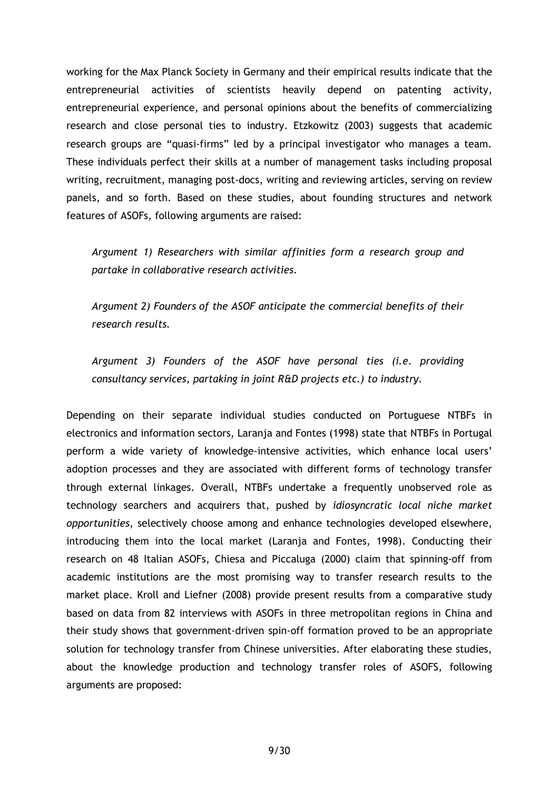working for the Max Planck Society in Germany and their empirical results indicate that the entrepreneurial activities of scientists heavily depend on patenting activity, entrepreneurial experience, and personal opinions about the benefits of commercializing research and close personal ties to industry. Etzkowitz (2003) suggests that academic research groups are "quasi-firms" led by a principal investigator who manages a team. These individuals perfect their skills at a number of management tasks including proposal writing, recruitment, managing post-docs, writing and reviewing articles, serving on review panels, and so forth. Based on these studies, about founding structures and network features of ASOFs, following arguments are raised:

*Argument 1) Researchers with similar affinities form a research group and partake in collaborative research activities.*

*Argument 2) Founders of the ASOF anticipate the commercial benefits of their research results.*

*Argument 3) Founders of the ASOF have personal ties (i.e. providing consultancy services, partaking in joint R&D projects etc.) to industry.*

Depending on their separate individual studies conducted on Portuguese NTBFs in electronics and information sectors, Laranja and Fontes (1998) state that NTBFs in Portugal perform a wide variety of knowledge-intensive activities, which enhance local users' adoption processes and they are associated with different forms of technology transfer through external linkages. Overall, NTBFs undertake a frequently unobserved role as technology searchers and acquirers that, pushed by *idiosyncratic local niche market opportunities*, selectively choose among and enhance technologies developed elsewhere, introducing them into the local market (Laranja and Fontes, 1998). Conducting their research on 48 Italian ASOFs, Chiesa and Piccaluga (2000) claim that spinning-off from academic institutions are the most promising way to transfer research results to the market place. Kroll and Liefner (2008) provide present results from a comparative study based on data from 82 interviews with ASOFs in three metropolitan regions in China and their study shows that government-driven spin-off formation proved to be an appropriate solution for technology transfer from Chinese universities. After elaborating these studies, about the knowledge production and technology transfer roles of ASOFS, following arguments are proposed: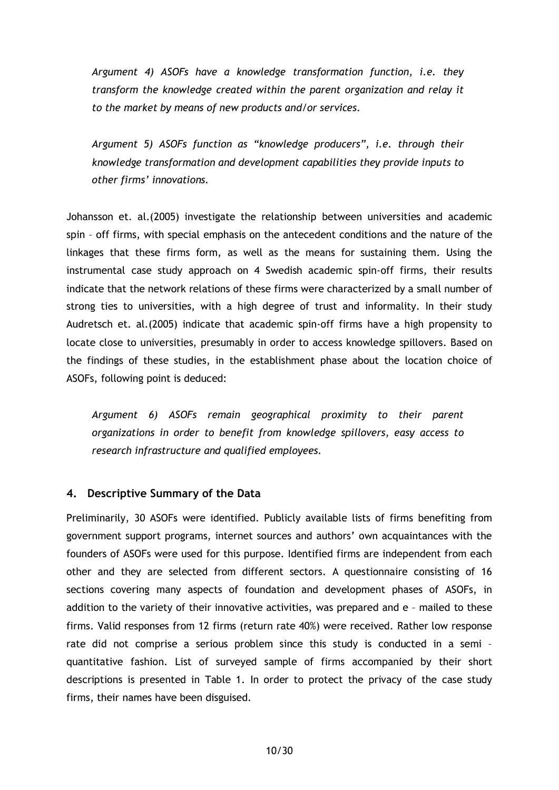*Argument 4) ASOFs have a knowledge transformation function, i.e. they transform the knowledge created within the parent organization and relay it to the market by means of new products and/or services.*

*Argument 5) ASOFs function as "knowledge producers", i.e. through their knowledge transformation and development capabilities they provide inputs to other firms' innovations.*

Johansson et. al.(2005) investigate the relationship between universities and academic spin – off firms, with special emphasis on the antecedent conditions and the nature of the linkages that these firms form, as well as the means for sustaining them. Using the instrumental case study approach on 4 Swedish academic spin-off firms, their results indicate that the network relations of these firms were characterized by a small number of strong ties to universities, with a high degree of trust and informality. In their study Audretsch et. al.(2005) indicate that academic spin-off firms have a high propensity to locate close to universities, presumably in order to access knowledge spillovers. Based on the findings of these studies, in the establishment phase about the location choice of ASOFs, following point is deduced:

*Argument 6) ASOFs remain geographical proximity to their parent organizations in order to benefit from knowledge spillovers, easy access to research infrastructure and qualified employees.*

#### **4. Descriptive Summary of the Data**

Preliminarily, 30 ASOFs were identified. Publicly available lists of firms benefiting from government support programs, internet sources and authors' own acquaintances with the founders of ASOFs were used for this purpose. Identified firms are independent from each other and they are selected from different sectors. A questionnaire consisting of 16 sections covering many aspects of foundation and development phases of ASOFs, in addition to the variety of their innovative activities, was prepared and e – mailed to these firms. Valid responses from 12 firms (return rate 40%) were received. Rather low response rate did not comprise a serious problem since this study is conducted in a semi – quantitative fashion. List of surveyed sample of firms accompanied by their short descriptions is presented in Table 1. In order to protect the privacy of the case study firms, their names have been disguised.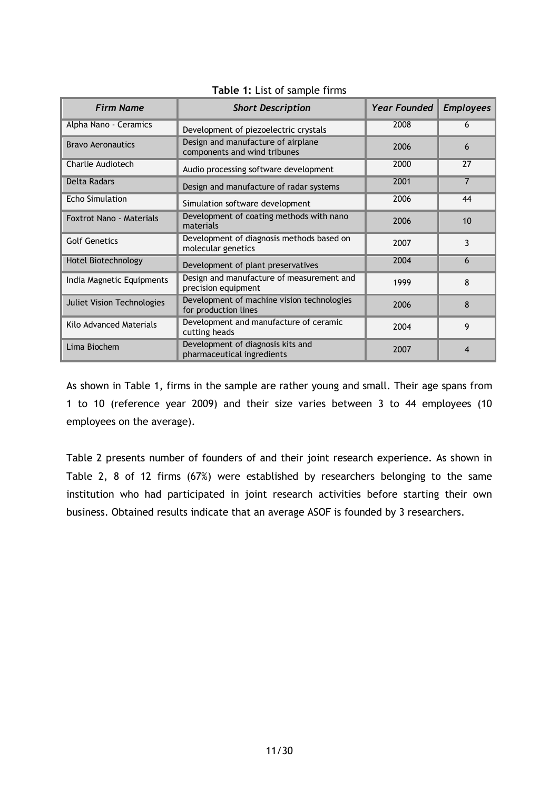| <b>Firm Name</b>                  | <b>Short Description</b>                                           | <b>Year Founded</b> | <b>Employees</b> |
|-----------------------------------|--------------------------------------------------------------------|---------------------|------------------|
| Alpha Nano - Ceramics             | Development of piezoelectric crystals                              | 2008                | 6                |
| <b>Bravo Aeronautics</b>          | Design and manufacture of airplane<br>components and wind tribunes | 2006                | 6                |
| Charlie Audiotech                 | Audio processing software development                              | 2000                | 27               |
| <b>Delta Radars</b>               | Design and manufacture of radar systems                            | 2001                | $\overline{7}$   |
| <b>Echo Simulation</b>            | Simulation software development                                    | 2006                | 44               |
| Foxtrot Nano - Materials          | Development of coating methods with nano<br>materials              | 2006                | 10               |
| <b>Golf Genetics</b>              | Development of diagnosis methods based on<br>molecular genetics    | 2007                | 3                |
| Hotel Biotechnology               | Development of plant preservatives                                 | 2004                | 6                |
| India Magnetic Equipments         | Design and manufacture of measurement and<br>precision equipment   | 1999                | 8                |
| <b>Juliet Vision Technologies</b> | Development of machine vision technologies<br>for production lines | 2006                | 8                |
| Kilo Advanced Materials           | Development and manufacture of ceramic<br>cutting heads            | 2004                | 9                |
| Lima Biochem                      | Development of diagnosis kits and<br>pharmaceutical ingredients    | 2007                | 4                |

#### **Table 1:** List of sample firms

As shown in Table 1, firms in the sample are rather young and small. Their age spans from 1 to 10 (reference year 2009) and their size varies between 3 to 44 employees (10 employees on the average).

Table 2 presents number of founders of and their joint research experience. As shown in Table 2, 8 of 12 firms (67%) were established by researchers belonging to the same institution who had participated in joint research activities before starting their own business. Obtained results indicate that an average ASOF is founded by 3 researchers.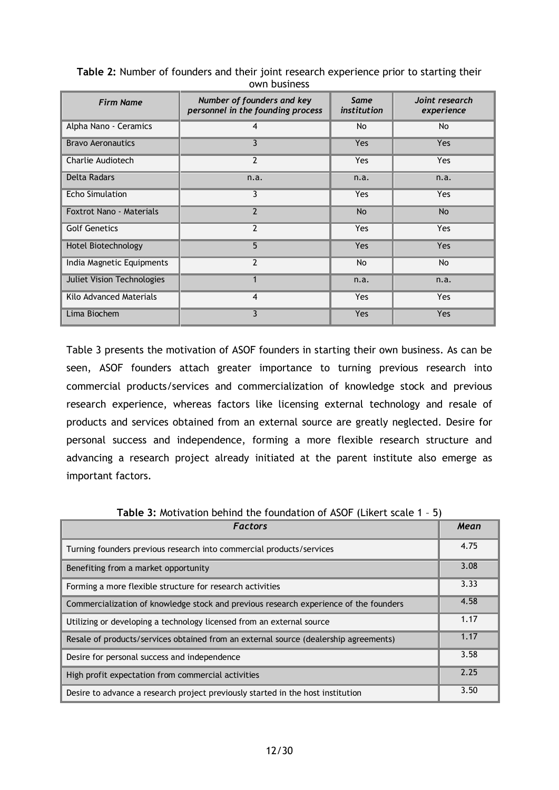| <b>Firm Name</b>                  | Number of founders and key<br>personnel in the founding process | Same<br>institution | Joint research<br>experience |
|-----------------------------------|-----------------------------------------------------------------|---------------------|------------------------------|
| Alpha Nano - Ceramics             | 4                                                               | No                  | No                           |
| <b>Bravo Aeronautics</b>          | 3                                                               | Yes                 | <b>Yes</b>                   |
| Charlie Audiotech                 | $\overline{2}$                                                  | Yes                 | Yes                          |
| <b>Delta Radars</b>               | n.a.                                                            | n.a.                | n.a.                         |
| <b>Echo Simulation</b>            | 3                                                               | <b>Yes</b>          | <b>Yes</b>                   |
| <b>Foxtrot Nano - Materials</b>   | $\overline{2}$                                                  | <b>No</b>           | <b>No</b>                    |
| <b>Golf Genetics</b>              | $\overline{2}$                                                  | Yes                 | Yes                          |
| Hotel Biotechnology               | 5                                                               | Yes                 | Yes                          |
| India Magnetic Equipments         | $\overline{2}$                                                  | <b>No</b>           | No                           |
| <b>Juliet Vision Technologies</b> |                                                                 | n.a.                | n.a.                         |
| Kilo Advanced Materials           | 4                                                               | Yes                 | <b>Yes</b>                   |
| Lima Biochem                      | 3                                                               | Yes                 | Yes                          |

**Table 2:** Number of founders and their joint research experience prior to starting their own business

Table 3 presents the motivation of ASOF founders in starting their own business. As can be seen, ASOF founders attach greater importance to turning previous research into commercial products/services and commercialization of knowledge stock and previous research experience, whereas factors like licensing external technology and resale of products and services obtained from an external source are greatly neglected. Desire for personal success and independence, forming a more flexible research structure and advancing a research project already initiated at the parent institute also emerge as important factors.

| <b>Factors</b>                                                                        | Mean |
|---------------------------------------------------------------------------------------|------|
| Turning founders previous research into commercial products/services                  | 4.75 |
| Benefiting from a market opportunity                                                  | 3.08 |
| Forming a more flexible structure for research activities                             | 3.33 |
| Commercialization of knowledge stock and previous research experience of the founders | 4.58 |
| Utilizing or developing a technology licensed from an external source                 | 1.17 |
| Resale of products/services obtained from an external source (dealership agreements)  | 1.17 |
| Desire for personal success and independence                                          | 3.58 |
| High profit expectation from commercial activities                                    | 2.25 |
| Desire to advance a research project previously started in the host institution       | 3.50 |

**Table 3:** Motivation behind the foundation of ASOF (Likert scale 1 – 5)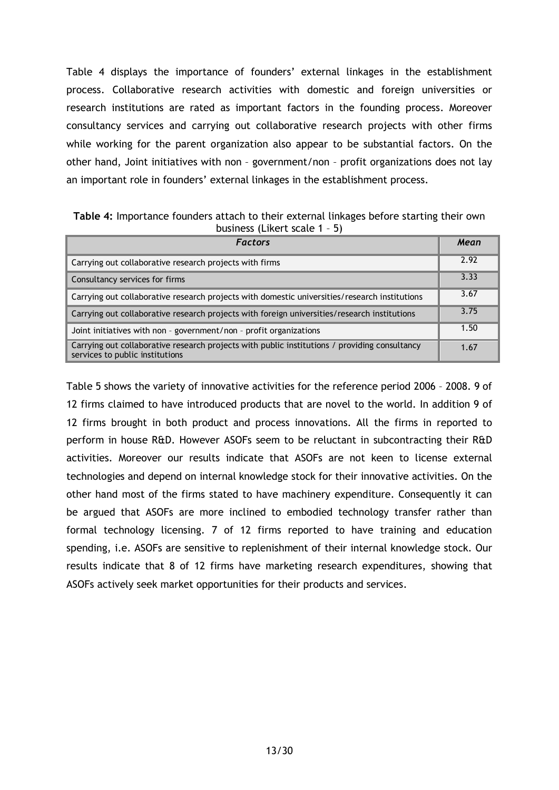Table 4 displays the importance of founders' external linkages in the establishment process. Collaborative research activities with domestic and foreign universities or research institutions are rated as important factors in the founding process. Moreover consultancy services and carrying out collaborative research projects with other firms while working for the parent organization also appear to be substantial factors. On the other hand, Joint initiatives with non – government/non – profit organizations does not lay an important role in founders' external linkages in the establishment process.

**Table 4:** Importance founders attach to their external linkages before starting their own business (Likert scale 1 – 5)

| <b>Factors</b>                                                                                                                   |      |  |  |  |  |  |
|----------------------------------------------------------------------------------------------------------------------------------|------|--|--|--|--|--|
| Carrying out collaborative research projects with firms                                                                          | 2.92 |  |  |  |  |  |
| Consultancy services for firms                                                                                                   | 3.33 |  |  |  |  |  |
| Carrying out collaborative research projects with domestic universities/research institutions                                    | 3.67 |  |  |  |  |  |
| Carrying out collaborative research projects with foreign universities/research institutions                                     | 3.75 |  |  |  |  |  |
| Joint initiatives with non - government/non - profit organizations                                                               | 1.50 |  |  |  |  |  |
| Carrying out collaborative research projects with public institutions / providing consultancy<br>services to public institutions | 1.67 |  |  |  |  |  |

Table 5 shows the variety of innovative activities for the reference period 2006 – 2008. 9 of 12 firms claimed to have introduced products that are novel to the world. In addition 9 of 12 firms brought in both product and process innovations. All the firms in reported to perform in house R&D. However ASOFs seem to be reluctant in subcontracting their R&D activities. Moreover our results indicate that ASOFs are not keen to license external technologies and depend on internal knowledge stock for their innovative activities. On the other hand most of the firms stated to have machinery expenditure. Consequently it can be argued that ASOFs are more inclined to embodied technology transfer rather than formal technology licensing. 7 of 12 firms reported to have training and education spending, i.e. ASOFs are sensitive to replenishment of their internal knowledge stock. Our results indicate that 8 of 12 firms have marketing research expenditures, showing that ASOFs actively seek market opportunities for their products and services.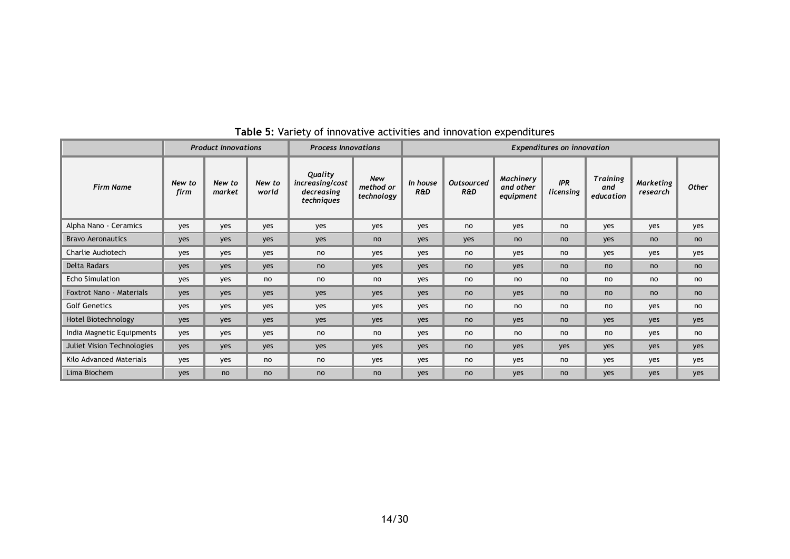|                                   | <b>Product Innovations</b> |                  |                 | <b>Process Innovations</b>                             |                                | <b>Expenditures on innovation</b> |                          |                                     |                         |                                     |                       |              |
|-----------------------------------|----------------------------|------------------|-----------------|--------------------------------------------------------|--------------------------------|-----------------------------------|--------------------------|-------------------------------------|-------------------------|-------------------------------------|-----------------------|--------------|
| <b>Firm Name</b>                  | New to<br>firm             | New to<br>market | New to<br>world | Quality<br>increasing/cost<br>decreasing<br>techniques | New<br>method or<br>technology | In house<br><b>R&amp;D</b>        | <b>Outsourced</b><br>R&D | Machinery<br>and other<br>equipment | <b>IPR</b><br>licensing | <b>Training</b><br>and<br>education | Marketing<br>research | <b>Other</b> |
| Alpha Nano - Ceramics             | yes                        | yes              | yes             | yes                                                    | yes                            | yes                               | no                       | yes                                 | no                      | yes                                 | yes                   | yes          |
| <b>Bravo Aeronautics</b>          | yes                        | yes              | <b>ves</b>      | yes                                                    | no                             | yes                               | yes                      | no                                  | no                      | yes                                 | no                    | no           |
| Charlie Audiotech                 | yes                        | yes              | yes             | no                                                     | yes                            | yes                               | no                       | yes                                 | no                      | yes                                 | yes                   | yes          |
| Delta Radars                      | yes                        | yes              | yes             | no                                                     | yes                            | yes                               | no                       | yes                                 | no                      | no                                  | no                    | no           |
| <b>Echo Simulation</b>            | yes                        | yes              | no              | no                                                     | no                             | yes                               | no                       | no                                  | no                      | no                                  | no                    | no           |
| <b>Foxtrot Nano - Materials</b>   | yes                        | yes              | <b>ves</b>      | yes                                                    | yes                            | yes                               | no                       | yes                                 | no                      | no                                  | no                    | no           |
| <b>Golf Genetics</b>              | yes                        | yes              | yes             | yes                                                    | yes                            | yes                               | no                       | no                                  | no                      | no                                  | yes                   | no           |
| Hotel Biotechnology               | yes                        | yes              | yes             | yes                                                    | yes                            | yes                               | no                       | yes                                 | no                      | yes                                 | yes                   | yes          |
| India Magnetic Equipments         | ves                        | yes              | ves             | no                                                     | no                             | yes                               | no                       | no                                  | no                      | no                                  | yes                   | no           |
| <b>Juliet Vision Technologies</b> | yes                        | yes              | yes             | yes                                                    | yes                            | yes                               | no                       | yes                                 | yes                     | yes                                 | yes                   | yes          |
| Kilo Advanced Materials           | yes                        | yes              | no              | no                                                     | yes                            | yes                               | no                       | yes                                 | no                      | yes                                 | yes                   | yes          |
| Lima Biochem                      | ves                        | no               | no              | no                                                     | no                             | yes                               | no                       | yes                                 | no                      | yes                                 | yes                   | yes          |

# **Table 5:** Variety of innovative activities and innovation expenditures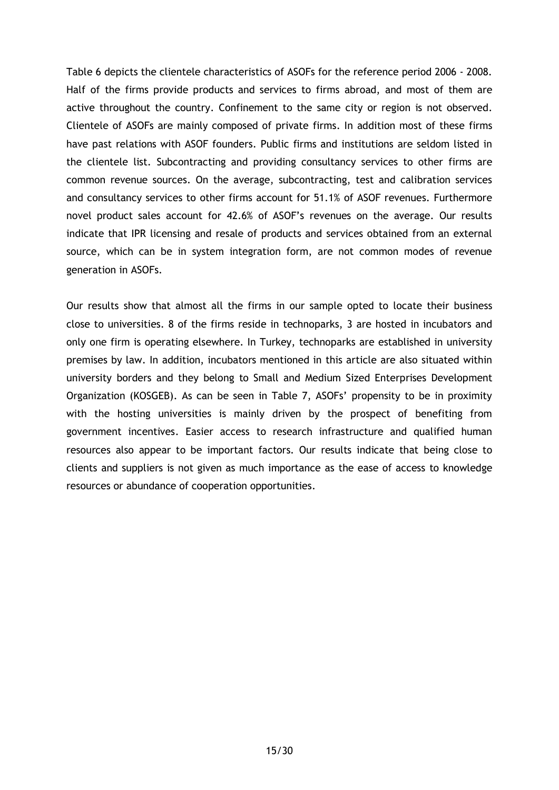Table 6 depicts the clientele characteristics of ASOFs for the reference period 2006 - 2008. Half of the firms provide products and services to firms abroad, and most of them are active throughout the country. Confinement to the same city or region is not observed. Clientele of ASOFs are mainly composed of private firms. In addition most of these firms have past relations with ASOF founders. Public firms and institutions are seldom listed in the clientele list. Subcontracting and providing consultancy services to other firms are common revenue sources. On the average, subcontracting, test and calibration services and consultancy services to other firms account for 51.1% of ASOF revenues. Furthermore novel product sales account for 42.6% of ASOF's revenues on the average. Our results indicate that IPR licensing and resale of products and services obtained from an external source, which can be in system integration form, are not common modes of revenue generation in ASOFs.

Our results show that almost all the firms in our sample opted to locate their business close to universities. 8 of the firms reside in technoparks, 3 are hosted in incubators and only one firm is operating elsewhere. In Turkey, technoparks are established in university premises by law. In addition, incubators mentioned in this article are also situated within university borders and they belong to Small and Medium Sized Enterprises Development Organization (KOSGEB). As can be seen in Table 7, ASOFs' propensity to be in proximity with the hosting universities is mainly driven by the prospect of benefiting from government incentives. Easier access to research infrastructure and qualified human resources also appear to be important factors. Our results indicate that being close to clients and suppliers is not given as much importance as the ease of access to knowledge resources or abundance of cooperation opportunities.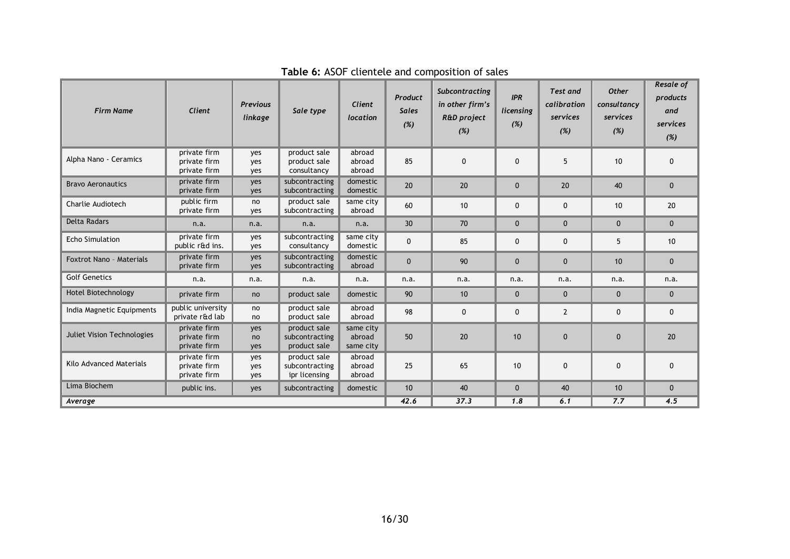| <b>Firm Name</b>                  | Client                                       | <b>Previous</b><br>linkage | Sale type                                       | Client<br>location               | Product<br><b>Sales</b><br>(%) | Subcontracting<br>in other firm's<br><b>R&amp;D</b> project<br>(%) | <b>IPR</b><br>licensing<br>(%) | <b>Test and</b><br>calibration<br>services<br>(%) | <b>Other</b><br>consultancy<br>services<br>(%) | Resale of<br>products<br>and<br>services<br>(%) |
|-----------------------------------|----------------------------------------------|----------------------------|-------------------------------------------------|----------------------------------|--------------------------------|--------------------------------------------------------------------|--------------------------------|---------------------------------------------------|------------------------------------------------|-------------------------------------------------|
| Alpha Nano - Ceramics             | private firm<br>private firm<br>private firm | yes<br>ves<br>yes          | product sale<br>product sale<br>consultancy     | abroad<br>abroad<br>abroad       | 85                             | $\mathbf 0$                                                        | $\Omega$                       | 5                                                 | 10                                             | $\mathbf{0}$                                    |
| <b>Bravo Aeronautics</b>          | private firm<br>private firm                 | yes<br>yes                 | subcontracting<br>subcontracting                | domestic<br>domestic             | 20                             | 20                                                                 | $\mathbf{0}$                   | 20                                                | 40                                             | $\mathbf{0}$                                    |
| Charlie Audiotech                 | public firm<br>private firm                  | no<br>yes                  | product sale<br>subcontracting                  | same city<br>abroad              | 60                             | 10                                                                 | $\mathbf 0$                    | 0                                                 | 10 <sup>1</sup>                                | 20                                              |
| <b>Delta Radars</b>               | n.a.                                         | n.a.                       | n.a.                                            | n.a.                             | 30                             | 70                                                                 | $\mathbf{0}$                   | $\Omega$                                          | $\mathbf{0}$                                   | $\mathbf{0}$                                    |
| <b>Echo Simulation</b>            | private firm<br>public r&d ins.              | yes<br>yes                 | subcontracting<br>consultancy                   | same city<br>domestic            | $\mathbf{0}$                   | 85                                                                 | $\mathbf 0$                    | 0                                                 | 5                                              | 10                                              |
| Foxtrot Nano - Materials          | private firm<br>private firm                 | yes<br>yes                 | subcontracting<br>subcontracting                | domestic<br>abroad               | $\mathbf{0}$                   | 90                                                                 | $\mathbf{0}$                   | $\mathbf{0}$                                      | 10                                             | $\mathbf 0$                                     |
| <b>Golf Genetics</b>              | n.a.                                         | n.a.                       | n.a.                                            | n.a.                             | n.a.                           | n.a.                                                               | n.a.                           | n.a.                                              | n.a.                                           | n.a.                                            |
| Hotel Biotechnology               | private firm                                 | no                         | product sale                                    | domestic                         | 90                             | 10                                                                 | $\mathbf{0}$                   | $\mathbf{0}$                                      | $\mathbf{0}$                                   | $\mathbf{0}$                                    |
| India Magnetic Equipments         | public university<br>private r&d lab         | no<br>no                   | product sale<br>product sale                    | abroad<br>abroad                 | 98                             | $\mathbf 0$                                                        | $\mathbf{0}$                   | $\overline{2}$                                    | $\mathbf{0}$                                   | $\mathbf 0$                                     |
| <b>Juliet Vision Technologies</b> | private firm<br>private firm<br>private firm | yes<br>no<br>yes           | product sale<br>subcontracting<br>product sale  | same city<br>abroad<br>same city | 50                             | 20                                                                 | 10                             | $\Omega$                                          | $\mathbf{0}$                                   | 20                                              |
| Kilo Advanced Materials           | private firm<br>private firm<br>private firm | yes<br>yes<br>yes          | product sale<br>subcontracting<br>ipr licensing | abroad<br>abroad<br>abroad       | 25                             | 65                                                                 | 10                             | 0                                                 | $\mathbf{0}$                                   | $\mathbf 0$                                     |
| Lima Biochem                      | public ins.                                  | yes                        | subcontracting                                  | domestic                         | 10                             | 40                                                                 | $\mathbf{0}$                   | 40                                                | 10                                             | $\mathbf{0}$                                    |
| Average                           |                                              |                            |                                                 |                                  | 42.6                           | 37.3                                                               | 1.8                            | 6.1                                               | 7.7                                            | 4.5                                             |

**Table 6:** ASOF clientele and composition of sales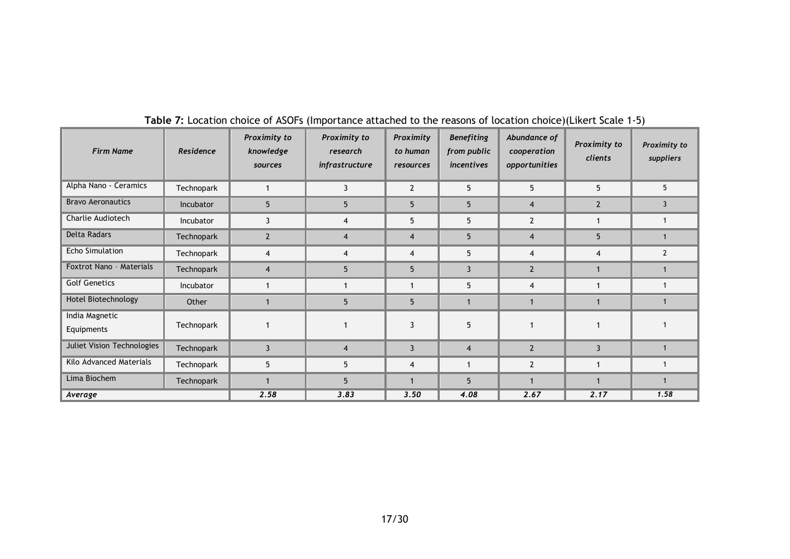| <b>Firm Name</b>             | Residence  | Proximity to<br>knowledge<br>sources | Proximity to<br>research<br>infrastructure | Proximity<br>to human<br>resources | <b>Benefiting</b><br>from public<br>incentives | Abundance of<br>cooperation<br>opportunities | Proximity to<br>clients | Proximity to<br>suppliers |
|------------------------------|------------|--------------------------------------|--------------------------------------------|------------------------------------|------------------------------------------------|----------------------------------------------|-------------------------|---------------------------|
| Alpha Nano - Ceramics        | Technopark | $\mathbf 1$                          | 3                                          | $\overline{2}$                     | 5                                              | 5                                            | 5                       | 5                         |
| <b>Bravo Aeronautics</b>     | Incubator  | 5                                    | 5                                          | 5                                  | 5                                              | $\overline{4}$                               | $\overline{2}$          | 3                         |
| Charlie Audiotech            | Incubator  | 3                                    | $\overline{4}$                             | 5                                  | 5                                              | $\overline{2}$                               |                         |                           |
| <b>Delta Radars</b>          | Technopark | $\overline{2}$                       | $\overline{4}$                             | $\overline{4}$                     | 5                                              | $\overline{4}$                               | 5                       |                           |
| <b>Echo Simulation</b>       | Technopark | 4                                    | $\overline{4}$                             | $\overline{4}$                     | 5                                              | $\overline{4}$                               | 4                       | $\overline{2}$            |
| Foxtrot Nano - Materials     | Technopark | $\overline{\mathbf{4}}$              | 5 <sup>5</sup>                             | 5                                  | 3                                              | $\overline{2}$                               |                         |                           |
| <b>Golf Genetics</b>         | Incubator  |                                      |                                            |                                    | 5                                              | 4                                            |                         |                           |
| Hotel Biotechnology          | Other      |                                      | 5                                          | 5                                  |                                                |                                              |                         |                           |
| India Magnetic<br>Equipments | Technopark |                                      |                                            | 3                                  | 5                                              |                                              |                         |                           |
| Juliet Vision Technologies   | Technopark | $\overline{3}$                       | $\overline{4}$                             | 3                                  | $\overline{4}$                                 | $\overline{2}$                               | 3                       |                           |
| Kilo Advanced Materials      | Technopark | 5                                    | 5                                          | $\overline{4}$                     |                                                | $\overline{2}$                               |                         |                           |
| Lima Biochem                 | Technopark | 1                                    | 5                                          |                                    | 5                                              |                                              |                         |                           |
| Average                      |            | 2.58                                 | 3.83                                       | 3.50                               | 4.08                                           | 2.67                                         | 2.17                    | 1.58                      |

# **Table 7:** Location choice of ASOFs (Importance attached to the reasons of location choice)(Likert Scale 1-5)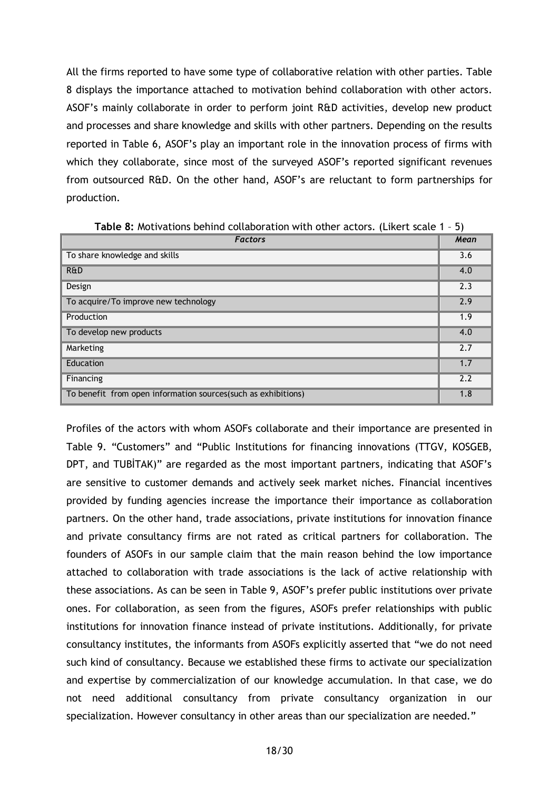All the firms reported to have some type of collaborative relation with other parties. Table 8 displays the importance attached to motivation behind collaboration with other actors. ASOF's mainly collaborate in order to perform joint R&D activities, develop new product and processes and share knowledge and skills with other partners. Depending on the results reported in Table 6, ASOF's play an important role in the innovation process of firms with which they collaborate, since most of the surveyed ASOF's reported significant revenues from outsourced R&D. On the other hand, ASOF's are reluctant to form partnerships for production.

| <b>Factors</b>                                                 | Mean |
|----------------------------------------------------------------|------|
| To share knowledge and skills                                  | 3.6  |
| <b>R&amp;D</b>                                                 | 4.0  |
| Design                                                         | 2.3  |
| To acquire/To improve new technology                           | 2.9  |
| Production                                                     | 1.9  |
| To develop new products                                        | 4.0  |
| Marketing                                                      | 2.7  |
| Education                                                      | 1.7  |
| Financing                                                      | 2.2  |
| To benefit from open information sources (such as exhibitions) | 1.8  |

**Table 8:** Motivations behind collaboration with other actors. (Likert scale 1 – 5)

Profiles of the actors with whom ASOFs collaborate and their importance are presented in Table 9. "Customers" and "Public Institutions for financing innovations (TTGV, KOSGEB, DPT, and TUBITAK)" are regarded as the most important partners, indicating that ASOF's are sensitive to customer demands and actively seek market niches. Financial incentives provided by funding agencies increase the importance their importance as collaboration partners. On the other hand, trade associations, private institutions for innovation finance and private consultancy firms are not rated as critical partners for collaboration. The founders of ASOFs in our sample claim that the main reason behind the low importance attached to collaboration with trade associations is the lack of active relationship with these associations. As can be seen in Table 9, ASOF's prefer public institutions over private ones. For collaboration, as seen from the figures, ASOFs prefer relationships with public institutions for innovation finance instead of private institutions. Additionally, for private consultancy institutes, the informants from ASOFs explicitly asserted that "we do not need such kind of consultancy. Because we established these firms to activate our specialization and expertise by commercialization of our knowledge accumulation. In that case, we do not need additional consultancy from private consultancy organization in our specialization. However consultancy in other areas than our specialization are needed."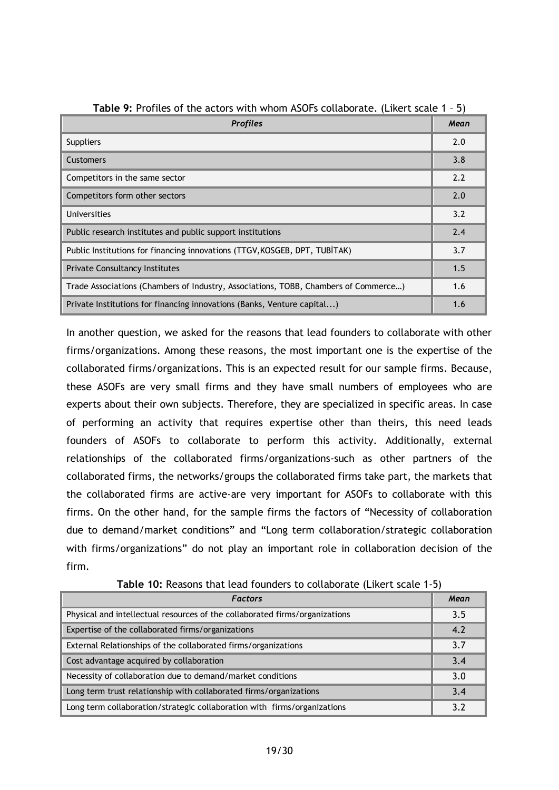| <b>Profiles</b>                                                                     | Mean |
|-------------------------------------------------------------------------------------|------|
| <b>Suppliers</b>                                                                    | 2.0  |
| Customers                                                                           | 3.8  |
| Competitors in the same sector                                                      | 2.2  |
| Competitors form other sectors                                                      | 2.0  |
| Universities                                                                        | 3.2  |
| Public research institutes and public support institutions                          | 2.4  |
| Public Institutions for financing innovations (TTGV, KOSGEB, DPT, TUBITAK)          | 3.7  |
| <b>Private Consultancy Institutes</b>                                               | 1.5  |
| Trade Associations (Chambers of Industry, Associations, TOBB, Chambers of Commerce) | 1.6  |
| Private Institutions for financing innovations (Banks, Venture capital)             | 1.6  |

**Table 9:** Profiles of the actors with whom ASOFs collaborate. (Likert scale 1 – 5)

In another question, we asked for the reasons that lead founders to collaborate with other firms/organizations. Among these reasons, the most important one is the expertise of the collaborated firms/organizations. This is an expected result for our sample firms. Because, these ASOFs are very small firms and they have small numbers of employees who are experts about their own subjects. Therefore, they are specialized in specific areas. In case of performing an activity that requires expertise other than theirs, this need leads founders of ASOFs to collaborate to perform this activity. Additionally, external relationships of the collaborated firms/organizations-such as other partners of the collaborated firms, the networks/groups the collaborated firms take part, the markets that the collaborated firms are active-are very important for ASOFs to collaborate with this firms. On the other hand, for the sample firms the factors of "Necessity of collaboration due to demand/market conditions" and "Long term collaboration/strategic collaboration with firms/organizations" do not play an important role in collaboration decision of the firm.

| <b>Factors</b>                                                              | Mean |
|-----------------------------------------------------------------------------|------|
| Physical and intellectual resources of the collaborated firms/organizations | 3.5  |
| Expertise of the collaborated firms/organizations                           | 4.2  |
| External Relationships of the collaborated firms/organizations              | 3.7  |
| Cost advantage acquired by collaboration                                    | 3.4  |
| Necessity of collaboration due to demand/market conditions                  | 3.0  |
| Long term trust relationship with collaborated firms/organizations          | 3.4  |
| Long term collaboration/strategic collaboration with firms/organizations    | 3.2  |

**Table 10:** Reasons that lead founders to collaborate (Likert scale 1-5)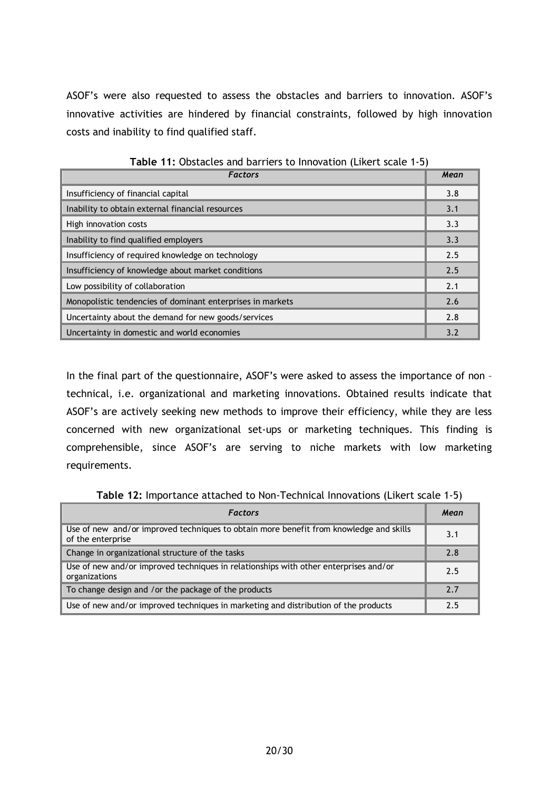ASOF's were also requested to assess the obstacles and barriers to innovation. ASOF's innovative activities are hindered by financial constraints, followed by high innovation costs and inability to find qualified staff.

| <b>Factors</b>                                             | Mean |
|------------------------------------------------------------|------|
| Insufficiency of financial capital                         | 3.8  |
| Inability to obtain external financial resources           | 3.1  |
| High innovation costs                                      | 3.3  |
| Inability to find qualified employers                      | 3.3  |
| Insufficiency of required knowledge on technology          | 2.5  |
| Insufficiency of knowledge about market conditions         | 2.5  |
| Low possibility of collaboration                           | 2.1  |
| Monopolistic tendencies of dominant enterprises in markets | 2.6  |
| Uncertainty about the demand for new goods/services        | 2.8  |
| Uncertainty in domestic and world economies                | 3.2  |

**Table 11:** Obstacles and barriers to Innovation (Likert scale 1-5)

In the final part of the questionnaire, ASOF's were asked to assess the importance of non technical, i.e. organizational and marketing innovations. Obtained results indicate that ASOF's are actively seeking new methods to improve their efficiency, while they are less concerned with new organizational set-ups or marketing techniques. This finding is comprehensible, since ASOF's are serving to niche markets with low marketing requirements.

**Table 12:** Importance attached to Non-Technical Innovations (Likert scale 1-5)

| <b>Factors</b>                                                                                              | Mean |
|-------------------------------------------------------------------------------------------------------------|------|
| Use of new and/or improved techniques to obtain more benefit from knowledge and skills<br>of the enterprise | 3.1  |
| Change in organizational structure of the tasks                                                             | 2.8  |
| Use of new and/or improved techniques in relationships with other enterprises and/or<br>organizations       | 2.5  |
| To change design and /or the package of the products                                                        | 2.7  |
| Use of new and/or improved techniques in marketing and distribution of the products                         | 2.5  |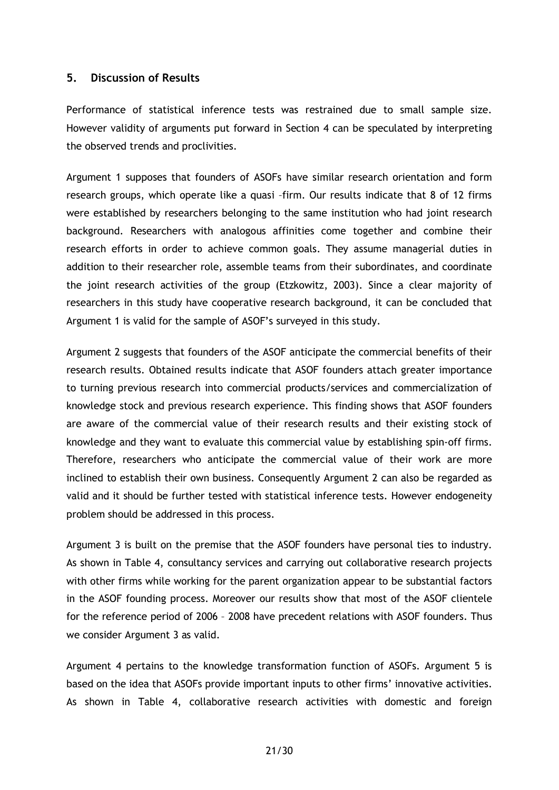#### **5. Discussion of Results**

Performance of statistical inference tests was restrained due to small sample size. However validity of arguments put forward in Section 4 can be speculated by interpreting the observed trends and proclivities.

Argument 1 supposes that founders of ASOFs have similar research orientation and form research groups, which operate like a quasi –firm. Our results indicate that 8 of 12 firms were established by researchers belonging to the same institution who had joint research background. Researchers with analogous affinities come together and combine their research efforts in order to achieve common goals. They assume managerial duties in addition to their researcher role, assemble teams from their subordinates, and coordinate the joint research activities of the group (Etzkowitz, 2003). Since a clear majority of researchers in this study have cooperative research background, it can be concluded that Argument 1 is valid for the sample of ASOF's surveyed in this study.

Argument 2 suggests that founders of the ASOF anticipate the commercial benefits of their research results. Obtained results indicate that ASOF founders attach greater importance to turning previous research into commercial products/services and commercialization of knowledge stock and previous research experience. This finding shows that ASOF founders are aware of the commercial value of their research results and their existing stock of knowledge and they want to evaluate this commercial value by establishing spin-off firms. Therefore, researchers who anticipate the commercial value of their work are more inclined to establish their own business. Consequently Argument 2 can also be regarded as valid and it should be further tested with statistical inference tests. However endogeneity problem should be addressed in this process.

Argument 3 is built on the premise that the ASOF founders have personal ties to industry. As shown in Table 4, consultancy services and carrying out collaborative research projects with other firms while working for the parent organization appear to be substantial factors in the ASOF founding process. Moreover our results show that most of the ASOF clientele for the reference period of 2006 – 2008 have precedent relations with ASOF founders. Thus we consider Argument 3 as valid.

Argument 4 pertains to the knowledge transformation function of ASOFs. Argument 5 is based on the idea that ASOFs provide important inputs to other firms' innovative activities. As shown in Table 4, collaborative research activities with domestic and foreign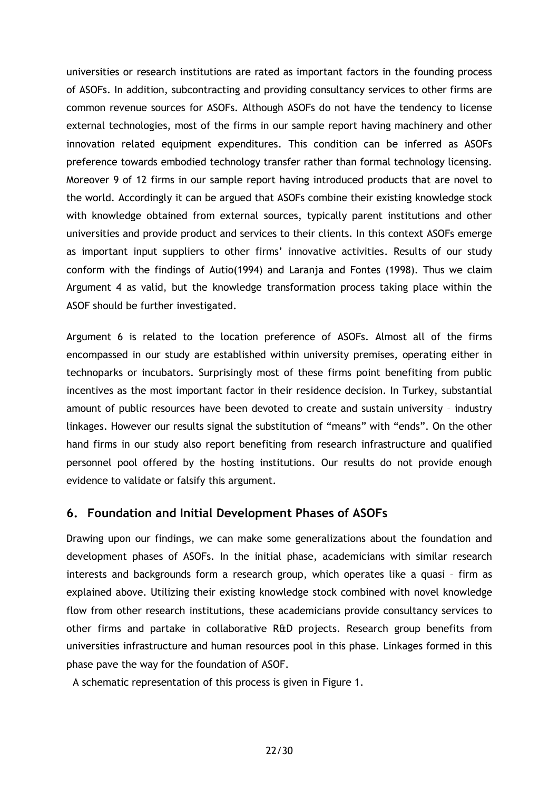universities or research institutions are rated as important factors in the founding process of ASOFs. In addition, subcontracting and providing consultancy services to other firms are common revenue sources for ASOFs. Although ASOFs do not have the tendency to license external technologies, most of the firms in our sample report having machinery and other innovation related equipment expenditures. This condition can be inferred as ASOFs preference towards embodied technology transfer rather than formal technology licensing. Moreover 9 of 12 firms in our sample report having introduced products that are novel to the world. Accordingly it can be argued that ASOFs combine their existing knowledge stock with knowledge obtained from external sources, typically parent institutions and other universities and provide product and services to their clients. In this context ASOFs emerge as important input suppliers to other firms' innovative activities. Results of our study conform with the findings of Autio(1994) and Laranja and Fontes (1998). Thus we claim Argument 4 as valid, but the knowledge transformation process taking place within the ASOF should be further investigated.

Argument 6 is related to the location preference of ASOFs. Almost all of the firms encompassed in our study are established within university premises, operating either in technoparks or incubators. Surprisingly most of these firms point benefiting from public incentives as the most important factor in their residence decision. In Turkey, substantial amount of public resources have been devoted to create and sustain university – industry linkages. However our results signal the substitution of "means" with "ends". On the other hand firms in our study also report benefiting from research infrastructure and qualified personnel pool offered by the hosting institutions. Our results do not provide enough evidence to validate or falsify this argument.

## **6. Foundation and Initial Development Phases of ASOFs**

Drawing upon our findings, we can make some generalizations about the foundation and development phases of ASOFs. In the initial phase, academicians with similar research interests and backgrounds form a research group, which operates like a quasi – firm as explained above. Utilizing their existing knowledge stock combined with novel knowledge flow from other research institutions, these academicians provide consultancy services to other firms and partake in collaborative R&D projects. Research group benefits from universities infrastructure and human resources pool in this phase. Linkages formed in this phase pave the way for the foundation of ASOF.

A schematic representation of this process is given in Figure 1.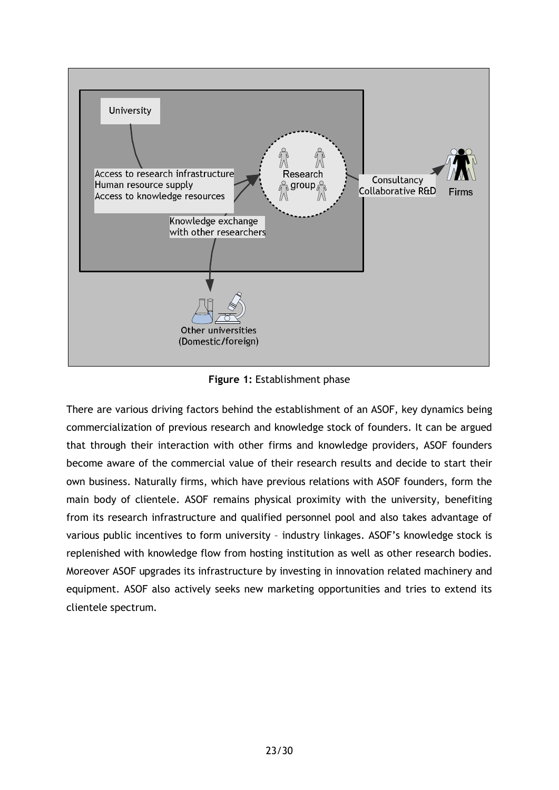

**Figure 1:** Establishment phase

There are various driving factors behind the establishment of an ASOF, key dynamics being commercialization of previous research and knowledge stock of founders. It can be argued that through their interaction with other firms and knowledge providers, ASOF founders become aware of the commercial value of their research results and decide to start their own business. Naturally firms, which have previous relations with ASOF founders, form the main body of clientele. ASOF remains physical proximity with the university, benefiting from its research infrastructure and qualified personnel pool and also takes advantage of various public incentives to form university – industry linkages. ASOF's knowledge stock is replenished with knowledge flow from hosting institution as well as other research bodies. Moreover ASOF upgrades its infrastructure by investing in innovation related machinery and equipment. ASOF also actively seeks new marketing opportunities and tries to extend its clientele spectrum.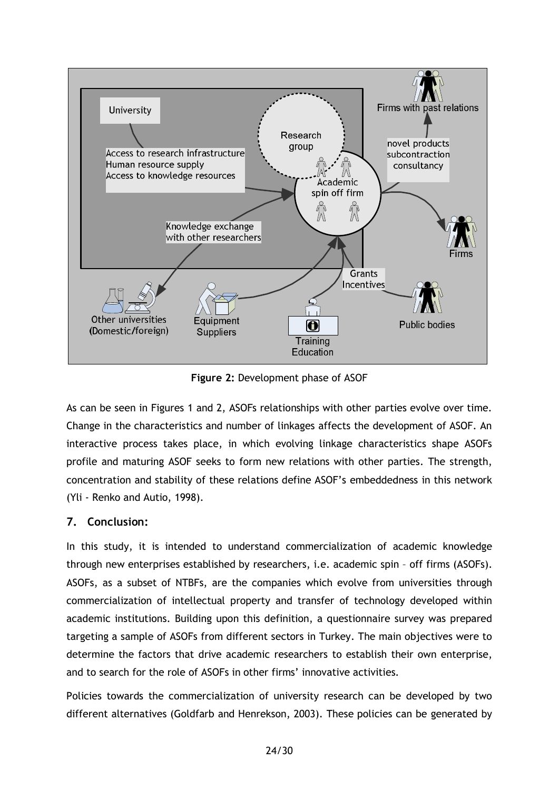

**Figure 2:** Development phase of ASOF

As can be seen in Figures 1 and 2, ASOFs relationships with other parties evolve over time. Change in the characteristics and number of linkages affects the development of ASOF. An interactive process takes place, in which evolving linkage characteristics shape ASOFs profile and maturing ASOF seeks to form new relations with other parties. The strength, concentration and stability of these relations define ASOF's embeddedness in this network (Yli - Renko and Autio, 1998).

## **7. Conclusion:**

In this study, it is intended to understand commercialization of academic knowledge through new enterprises established by researchers, i.e. academic spin – off firms (ASOFs). ASOFs, as a subset of NTBFs, are the companies which evolve from universities through commercialization of intellectual property and transfer of technology developed within academic institutions. Building upon this definition, a questionnaire survey was prepared targeting a sample of ASOFs from different sectors in Turkey. The main objectives were to determine the factors that drive academic researchers to establish their own enterprise, and to search for the role of ASOFs in other firms' innovative activities.

Policies towards the commercialization of university research can be developed by two different alternatives (Goldfarb and Henrekson, 2003). These policies can be generated by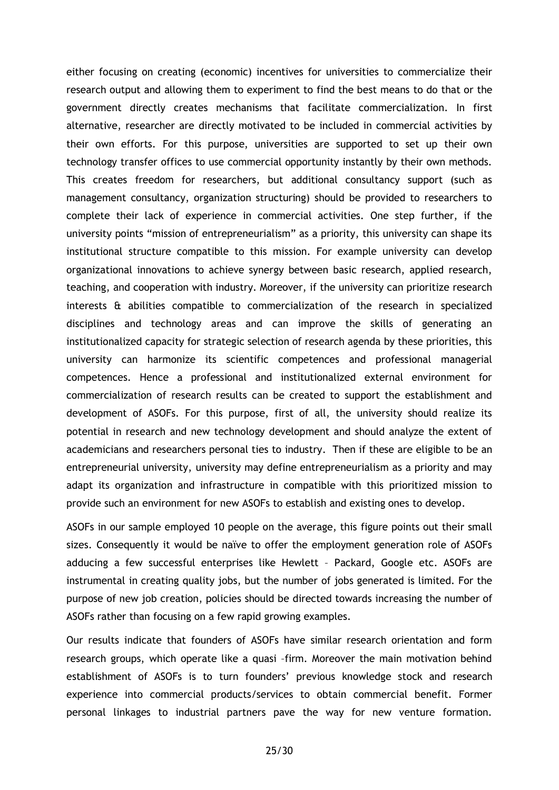either focusing on creating (economic) incentives for universities to commercialize their research output and allowing them to experiment to find the best means to do that or the government directly creates mechanisms that facilitate commercialization. In first alternative, researcher are directly motivated to be included in commercial activities by their own efforts. For this purpose, universities are supported to set up their own technology transfer offices to use commercial opportunity instantly by their own methods. This creates freedom for researchers, but additional consultancy support (such as management consultancy, organization structuring) should be provided to researchers to complete their lack of experience in commercial activities. One step further, if the university points "mission of entrepreneurialism" as a priority, this university can shape its institutional structure compatible to this mission. For example university can develop organizational innovations to achieve synergy between basic research, applied research, teaching, and cooperation with industry. Moreover, if the university can prioritize research interests & abilities compatible to commercialization of the research in specialized disciplines and technology areas and can improve the skills of generating an institutionalized capacity for strategic selection of research agenda by these priorities, this university can harmonize its scientific competences and professional managerial competences. Hence a professional and institutionalized external environment for commercialization of research results can be created to support the establishment and development of ASOFs. For this purpose, first of all, the university should realize its potential in research and new technology development and should analyze the extent of academicians and researchers personal ties to industry. Then if these are eligible to be an entrepreneurial university, university may define entrepreneurialism as a priority and may adapt its organization and infrastructure in compatible with this prioritized mission to provide such an environment for new ASOFs to establish and existing ones to develop.

ASOFs in our sample employed 10 people on the average, this figure points out their small sizes. Consequently it would be naïve to offer the employment generation role of ASOFs adducing a few successful enterprises like Hewlett – Packard, Google etc. ASOFs are instrumental in creating quality jobs, but the number of jobs generated is limited. For the purpose of new job creation, policies should be directed towards increasing the number of ASOFs rather than focusing on a few rapid growing examples.

Our results indicate that founders of ASOFs have similar research orientation and form research groups, which operate like a quasi –firm. Moreover the main motivation behind establishment of ASOFs is to turn founders' previous knowledge stock and research experience into commercial products/services to obtain commercial benefit. Former personal linkages to industrial partners pave the way for new venture formation.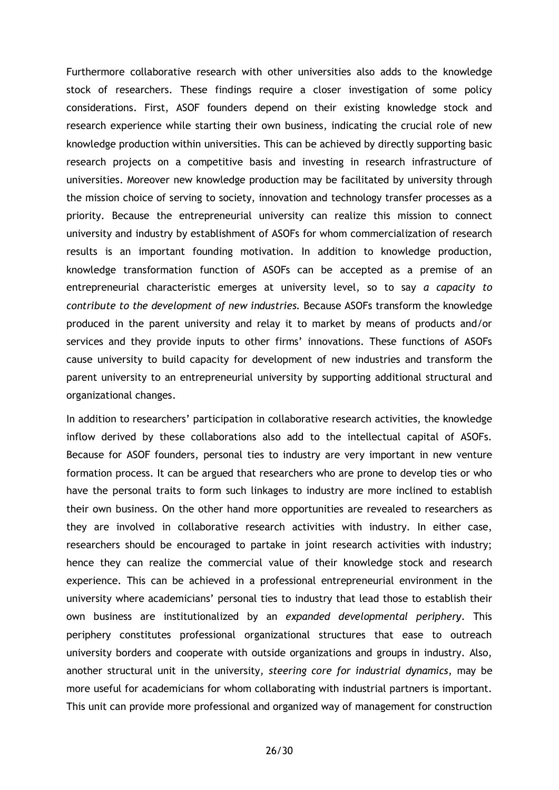Furthermore collaborative research with other universities also adds to the knowledge stock of researchers. These findings require a closer investigation of some policy considerations. First, ASOF founders depend on their existing knowledge stock and research experience while starting their own business, indicating the crucial role of new knowledge production within universities. This can be achieved by directly supporting basic research projects on a competitive basis and investing in research infrastructure of universities. Moreover new knowledge production may be facilitated by university through the mission choice of serving to society, innovation and technology transfer processes as a priority. Because the entrepreneurial university can realize this mission to connect university and industry by establishment of ASOFs for whom commercialization of research results is an important founding motivation. In addition to knowledge production, knowledge transformation function of ASOFs can be accepted as a premise of an entrepreneurial characteristic emerges at university level, so to say *a capacity to contribute to the development of new industries.* Because ASOFs transform the knowledge produced in the parent university and relay it to market by means of products and/or services and they provide inputs to other firms' innovations. These functions of ASOFs cause university to build capacity for development of new industries and transform the parent university to an entrepreneurial university by supporting additional structural and organizational changes.

In addition to researchers' participation in collaborative research activities, the knowledge inflow derived by these collaborations also add to the intellectual capital of ASOFs. Because for ASOF founders, personal ties to industry are very important in new venture formation process. It can be argued that researchers who are prone to develop ties or who have the personal traits to form such linkages to industry are more inclined to establish their own business. On the other hand more opportunities are revealed to researchers as they are involved in collaborative research activities with industry. In either case, researchers should be encouraged to partake in joint research activities with industry; hence they can realize the commercial value of their knowledge stock and research experience. This can be achieved in a professional entrepreneurial environment in the university where academicians' personal ties to industry that lead those to establish their own business are institutionalized by an *expanded developmental periphery*. This periphery constitutes professional organizational structures that ease to outreach university borders and cooperate with outside organizations and groups in industry. Also, another structural unit in the university, *steering core for industrial dynamics*, may be more useful for academicians for whom collaborating with industrial partners is important. This unit can provide more professional and organized way of management for construction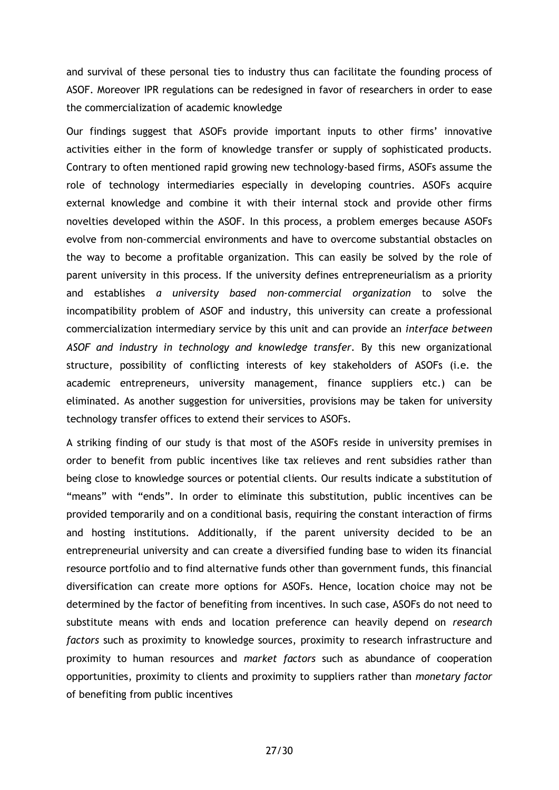and survival of these personal ties to industry thus can facilitate the founding process of ASOF. Moreover IPR regulations can be redesigned in favor of researchers in order to ease the commercialization of academic knowledge

Our findings suggest that ASOFs provide important inputs to other firms' innovative activities either in the form of knowledge transfer or supply of sophisticated products. Contrary to often mentioned rapid growing new technology-based firms, ASOFs assume the role of technology intermediaries especially in developing countries. ASOFs acquire external knowledge and combine it with their internal stock and provide other firms novelties developed within the ASOF. In this process, a problem emerges because ASOFs evolve from non-commercial environments and have to overcome substantial obstacles on the way to become a profitable organization. This can easily be solved by the role of parent university in this process. If the university defines entrepreneurialism as a priority and establishes *a university based non-commercial organization* to solve the incompatibility problem of ASOF and industry, this university can create a professional commercialization intermediary service by this unit and can provide an *interface between ASOF and industry in technology and knowledge transfer.* By this new organizational structure, possibility of conflicting interests of key stakeholders of ASOFs (i.e. the academic entrepreneurs, university management, finance suppliers etc.) can be eliminated. As another suggestion for universities, provisions may be taken for university technology transfer offices to extend their services to ASOFs.

A striking finding of our study is that most of the ASOFs reside in university premises in order to benefit from public incentives like tax relieves and rent subsidies rather than being close to knowledge sources or potential clients. Our results indicate a substitution of "means" with "ends". In order to eliminate this substitution, public incentives can be provided temporarily and on a conditional basis, requiring the constant interaction of firms and hosting institutions. Additionally, if the parent university decided to be an entrepreneurial university and can create a diversified funding base to widen its financial resource portfolio and to find alternative funds other than government funds, this financial diversification can create more options for ASOFs. Hence, location choice may not be determined by the factor of benefiting from incentives. In such case, ASOFs do not need to substitute means with ends and location preference can heavily depend on *research factors* such as proximity to knowledge sources, proximity to research infrastructure and proximity to human resources and *market factors* such as abundance of cooperation opportunities, proximity to clients and proximity to suppliers rather than *monetary factor* of benefiting from public incentives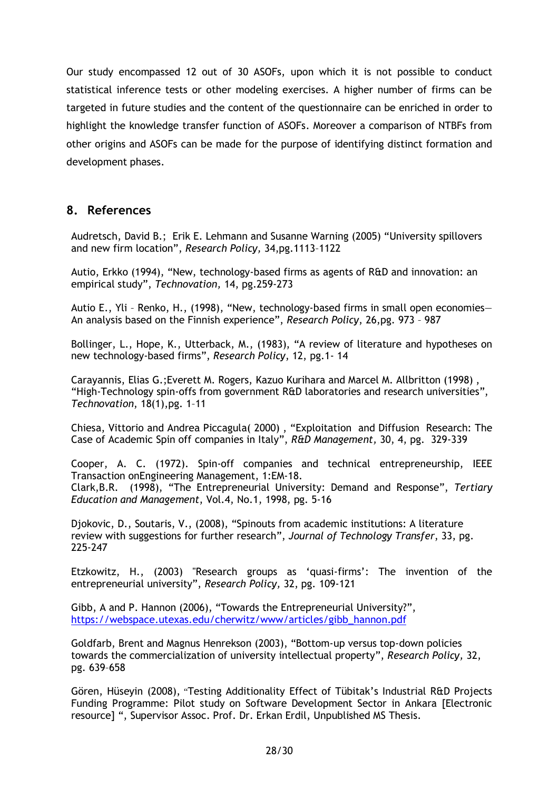Our study encompassed 12 out of 30 ASOFs, upon which it is not possible to conduct statistical inference tests or other modeling exercises. A higher number of firms can be targeted in future studies and the content of the questionnaire can be enriched in order to highlight the knowledge transfer function of ASOFs. Moreover a comparison of NTBFs from other origins and ASOFs can be made for the purpose of identifying distinct formation and development phases.

## **8. References**

Audretsch, David B.; Erik E. Lehmann and Susanne Warning (2005) "University spillovers and new firm location", *Research Policy,* 34,pg.1113–1122

Autio, Erkko (1994), "New, technology-based firms as agents of R&D and innovation: an empirical study", *Technovation,* 14, pg.259-273

Autio E., Yli – Renko, H., (1998), "New, technology-based firms in small open economies— An analysis based on the Finnish experience", *Research Policy*, 26,pg. 973 – 987

Bollinger, L., Hope, K., Utterback, M., (1983), "A review of literature and hypotheses on new technology-based firms", *Research Policy*, 12, pg.1- 14

Carayannis, Elias G.;Everett M. Rogers, Kazuo Kurihara and Marcel M. Allbritton (1998) , "High-Technology spin-offs from government R&D laboratories and research universities", *Technovation*, 18(1),pg. 1–11

Chiesa, Vittorio and Andrea Piccagula( 2000) , "Exploitation and Diffusion Research: The Case of Academic Spin off companies in Italy", *R&D Management,* 30, 4, pg. 329-339

Cooper, A. C. (1972). Spin-off companies and technical entrepreneurship, IEEE Transaction onEngineering Management, 1:EM-18. Clark,B.R. (1998), "The Entrepreneurial University: Demand and Response", *Tertiary Education and Management*, Vol.4, No.1, 1998, pg. 5-16

Djokovic, D., Soutaris, V., (2008), "Spinouts from academic institutions: A literature review with suggestions for further research", *Journal of Technology Transfer*, 33, pg. 225-247

Etzkowitz, H., (2003) "Research groups as 'quasi-firms': The invention of the entrepreneurial university", *Research Policy,* 32, pg. 109-121

Gibb, A and P. Hannon (2006), "Towards the Entrepreneurial University?", [https://webspace.utexas.edu/cherwitz/www/articles/gibb\\_hannon.pdf](https://webspace.utexas.edu/cherwitz/www/articles/gibb_hannon.pdf)

Goldfarb, Brent and Magnus Henrekson (2003), "Bottom-up versus top-down policies towards the commercialization of university intellectual property", *Research Policy,* 32, pg. 639–658

Gören, Hüseyin (2008), "Testing Additionality Effect of Tübitak's Industrial R&D Projects Funding Programme: Pilot study on Software Development Sector in Ankara [Electronic resource] ", Supervisor Assoc. Prof. Dr. Erkan Erdil, Unpublished MS Thesis.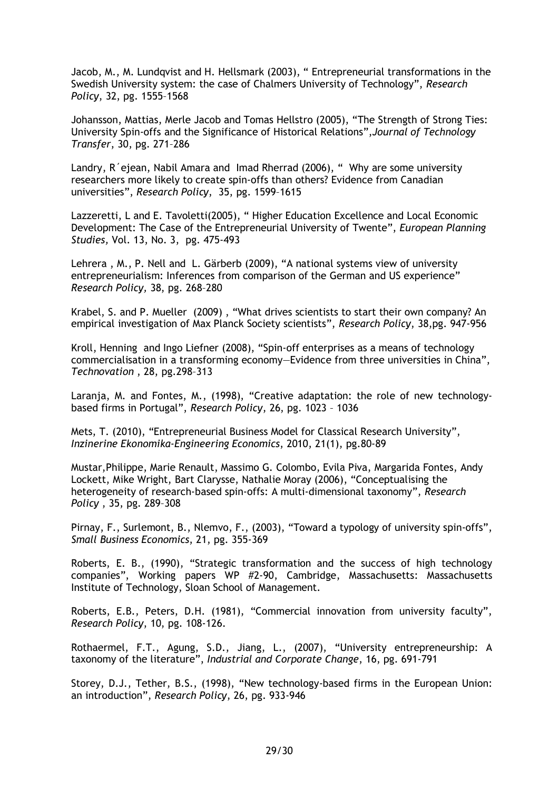Jacob, M., M. Lundqvist and H. Hellsmark (2003), " Entrepreneurial transformations in the Swedish University system: the case of Chalmers University of Technology", *Research Policy*, 32, pg. 1555–1568

Johansson, Mattias, Merle Jacob and Tomas Hellstro (2005), "The Strength of Strong Ties: University Spin-offs and the Significance of Historical Relations",*Journal of Technology Transfer*, 30, pg. 271–286

Landry, R´ejean, Nabil Amara and Imad Rherrad (2006), " Why are some university researchers more likely to create spin-offs than others? Evidence from Canadian universities", *Research Policy*, 35, pg. 1599–1615

Lazzeretti, L and E. Tavoletti(2005), " Higher Education Excellence and Local Economic Development: The Case of the Entrepreneurial University of Twente", *European Planning Studies,* Vol. 13, No. 3, pg. 475-493

Lehrera , M., P. Nell and L. Gärberb (2009), "A national systems view of university entrepreneurialism: Inferences from comparison of the German and US experience" *Research Policy,* 38, pg. 268–280

Krabel, S. and P. Mueller (2009) , "What drives scientists to start their own company? An empirical investigation of Max Planck Society scientists", *Research Policy*, 38,pg. 947-956

Kroll, Henning and Ingo Liefner (2008), "Spin-off enterprises as a means of technology commercialisation in a transforming economy—Evidence from three universities in China", *Technovation* , 28, pg.298–313

Laranja, M. and Fontes, M., (1998), "Creative adaptation: the role of new technologybased firms in Portugal", *Research Policy*, 26, pg. 1023 – 1036

Mets, T. (2010), "Entrepreneurial Business Model for Classical Research University", *Inzinerine Ekonomika-Engineering Economics*, 2010, 21(1), pg.80-89

Mustar,Philippe, Marie Renault, Massimo G. Colombo, Evila Piva, Margarida Fontes, Andy Lockett, Mike Wright, Bart Clarysse, Nathalie Moray (2006), "Conceptualising the heterogeneity of research-based spin-offs: A multi-dimensional taxonomy", *Research Policy* , 35, pg. 289–308

Pirnay, F., Surlemont, B., Nlemvo, F., (2003), "Toward a typology of university spin-offs", *Small Business Economics*, 21, pg. 355-369

Roberts, E. B., (1990), "Strategic transformation and the success of high technology companies", Working papers WP #2-90, Cambridge, Massachusetts: Massachusetts Institute of Technology, Sloan School of Management.

Roberts, E.B., Peters, D.H. (1981), "Commercial innovation from university faculty", *Research Policy*, 10, pg. 108-126.

Rothaermel, F.T., Agung, S.D., Jiang, L., (2007), "University entrepreneurship: A taxonomy of the literature", *Industrial and Corporate Change*, 16, pg. 691-791

Storey, D.J., Tether, B.S., (1998), "New technology-based firms in the European Union: an introduction", *Research Policy*, 26, pg. 933-946